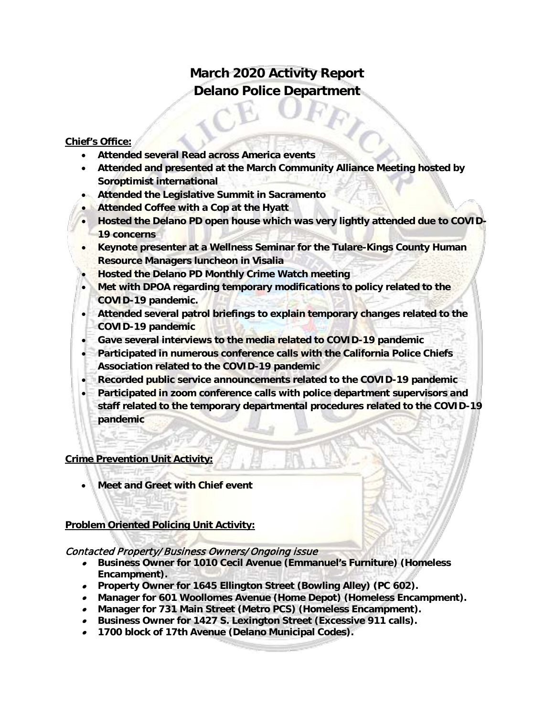# **March 2020 Activity Report Delano Police Department**

#### **Chief's Office:**

- **Attended several Read across America events**
- **Attended and presented at the March Community Alliance Meeting hosted by Soroptimist international**
- **Attended the Legislative Summit in Sacramento**
- **Attended Coffee with a Cop at the Hyatt**
- **Hosted the Delano PD open house which was very lightly attended due to COVID-19 concerns**
- **Keynote presenter at a Wellness Seminar for the Tulare-Kings County Human Resource Managers luncheon in Visalia**
- **Hosted the Delano PD Monthly Crime Watch meeting**
- **Met with DPOA regarding temporary modifications to policy related to the COVID-19 pandemic.**
- **Attended several patrol briefings to explain temporary changes related to the COVID-19 pandemic**
- **Gave several interviews to the media related to COVID-19 pandemic**
- **Participated in numerous conference calls with the California Police Chiefs Association related to the COVID-19 pandemic**
- **Recorded public service announcements related to the COVID-19 pandemic**
- **Participated in zoom conference calls with police department supervisors and staff related to the temporary departmental procedures related to the COVID-19 pandemic**

#### **Crime Prevention Unit Activity:**

• **Meet and Greet with Chief event**

#### **Problem Oriented Policing Unit Activity:**

#### Contacted Property/ Business Owners/Ongoing issue

- **Business Owner for 1010 Cecil Avenue (Emmanuel's Furniture) (Homeless Encampment).**
- **Property Owner for 1645 Ellington Street (Bowling Alley) (PC 602).**
- **Manager for 601 Woollomes Avenue (Home Depot) (Homeless Encampment).**
- **Manager for 731 Main Street (Metro PCS) (Homeless Encampment).**
- **Business Owner for 1427 S. Lexington Street (Excessive 911 calls).**
- **1700 block of 17th Avenue (Delano Municipal Codes).**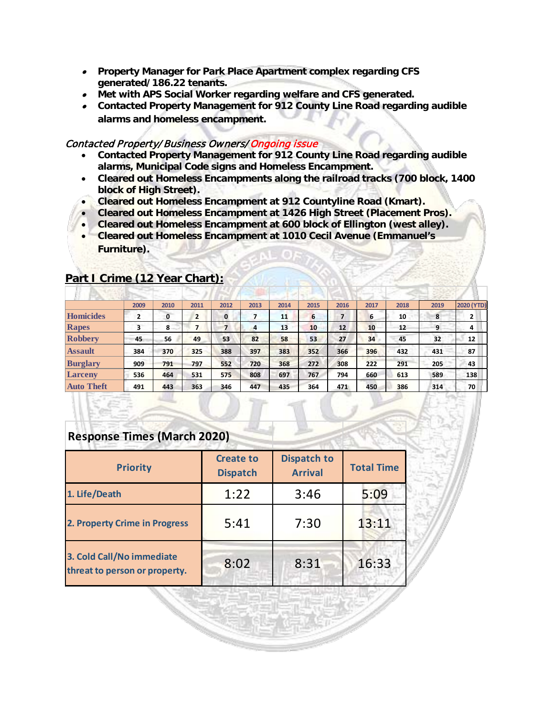- **Property Manager for Park Place Apartment complex regarding CFS generated/186.22 tenants.**
- **Met with APS Social Worker regarding welfare and CFS generated.**
- **Contacted Property Management for 912 County Line Road regarding audible alarms and homeless encampment.**

#### Contacted Property/Business Owners/ Ongoing issue

- **Contacted Property Management for 912 County Line Road regarding audible alarms, Municipal Code signs and Homeless Encampment.**
- **Cleared out Homeless Encampments along the railroad tracks (700 block, 1400 block of High Street).**
- **Cleared out Homeless Encampment at 912 Countyline Road (Kmart).**
- **Cleared out Homeless Encampment at 1426 High Street (Placement Pros).**
- **Cleared out Homeless Encampment at 600 block of Ellington (west alley).**
- **Cleared out Homeless Encampment at 1010 Cecil Avenue (Emmanuel's Furniture).**

|                   | 2009           | 2010 | 2011           | 2012 | 2013 | 2014 | 2015 | 2016              | 2017 | 2018 | 2019 | <b>2020 (YTD)</b> |
|-------------------|----------------|------|----------------|------|------|------|------|-------------------|------|------|------|-------------------|
| Homicides         | $\overline{2}$ | 0    | $\overline{2}$ | 0    |      | 11   | 6    | 7                 | 6    | 10   | 8    | 2                 |
| Rapes             | 3              | 8    |                |      | 4    | 13   | 10   | $12 \overline{ }$ | 10   | 12   | 9    | 4                 |
| <b>Robbery</b>    | 45             | 56   | 49             | 53   | 82   | 58   | 53   | 27                | 34   | 45   | 32   | 12                |
| <b>Assault</b>    | 384            | 370  | 325            | 388  | 397  | 383  | 352  | 366               | 396  | 432  | 431  | 87                |
| <b>Burglary</b>   | 909            | 791  | 797            | 552  | 720  | 368  | 272  | 308               | 222  | 291  | 205  | 43                |
| <b>Larceny</b>    | 536            | 464  | 531            | 575  | 808  | 697  | 767  | 794               | 660  | 613  | 589  | 138               |
| <b>Auto Theft</b> | 491            | 443  | 363            | 346  | 447  | 435  | 364  | 471               | 450  | 386  | 314  | 70                |

#### **Part I Crime (12 Year Chart):**

| <b>Response Times (March 2020)</b> |  |
|------------------------------------|--|
|                                    |  |

| <b>Priority</b>                                            | <b>Create to</b><br><b>Dispatch</b> | <b>Dispatch to</b><br><b>Arrival</b> | <b>Total Time</b> |  |
|------------------------------------------------------------|-------------------------------------|--------------------------------------|-------------------|--|
| 1. Life/Death                                              | 1:22                                | 3:46                                 | 5:09              |  |
| 2. Property Crime in Progress                              | 5:41                                | 7:30                                 | 13:11             |  |
| 3. Cold Call/No immediate<br>threat to person or property. | 8:02                                | 8:31                                 | 16:33             |  |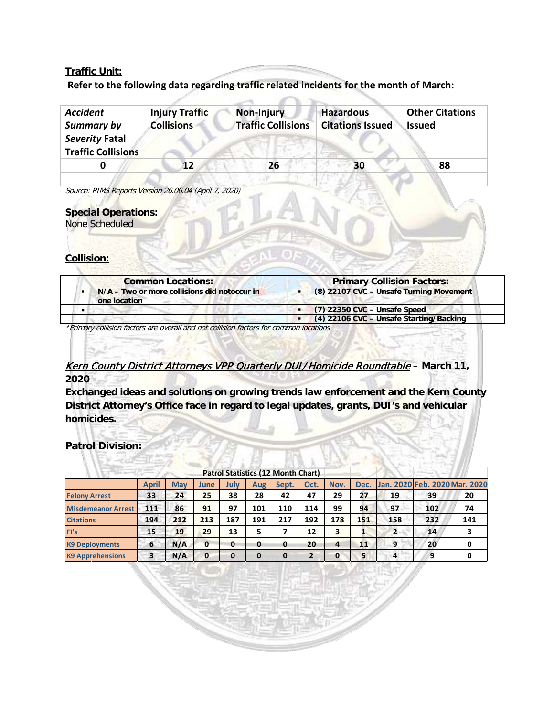#### **Traffic Unit:**

#### **Refer to the following data regarding traffic related incidents for the month of March:**

| <b>Accident</b>           | <b>Injury Traffic</b> | Non-Injury                | <b>Hazardous</b>        | <b>Other Citations</b> |
|---------------------------|-----------------------|---------------------------|-------------------------|------------------------|
| Summary by                | <b>Collisions</b>     | <b>Traffic Collisions</b> | <b>Citations Issued</b> | <b>Issued</b>          |
| Severity Fatal            |                       |                           |                         |                        |
| <b>Traffic Collisions</b> |                       |                           |                         |                        |
|                           | 12                    | 26                        | 30                      | 88                     |
|                           |                       |                           |                         |                        |

Source: RIMS Reports Version 26.06.04 (April 7, 2020)

#### **Special Operations:**

None Scheduled

#### **Collision:**

| <b>Common Locations:</b>                                       | <b>Primary Collision Factors:</b>       |  |  |  |
|----------------------------------------------------------------|-----------------------------------------|--|--|--|
| $N/A$ – Two or more collisions did notoccur in<br>one location | (8) 22107 CVC - Unsafe Turning Movement |  |  |  |
|                                                                | $(7)$ 22350 CVC - Unsafe Speed          |  |  |  |
|                                                                | (4) 22106 CVC - Unsafe Starting/Backing |  |  |  |

\*Primary collision factors are overall and not collision factors for common locations

### Kern County District Attorneys VPP Quarterly DUI/Homicide Roundtable **– March 11, 2020**

**Exchanged ideas and solutions on growing trends law enforcement and the Kern County District Attorney's Office face in regard to legal updates, grants, DUI's and vehicular homicides.**

#### **Patrol Division: Controller**

|                           |       |            |             |              |          | Patrol Statistics (12 Month Chart) |      |          |      |                |                               |     |
|---------------------------|-------|------------|-------------|--------------|----------|------------------------------------|------|----------|------|----------------|-------------------------------|-----|
|                           | April | <b>May</b> | <b>June</b> | July         | Aug      | Sept.                              | Oct. | Nov.     | Dec. |                | Jan. 2020 Feb. 2020 Mar. 2020 |     |
| <b>Felony Arrest</b>      | 33    | 24         | 25          | 38           | 28       | 42                                 | 47   | 29       | 27   | 19             | 39                            | 20  |
| <b>Misdemeanor Arrest</b> | 111   | 86         | 91          | 97           | 101      | 110                                | 114  | 99       | 94   | 97             | 102                           | 74  |
| <b>Citations</b>          | 194   | 212        | 213         | 187          | 191      | 217                                | 192  | 178      | 151  | 158            | 232                           | 141 |
| FI's                      | 15    | 19         | 29          | 13           | 5        |                                    | 12   | 3        |      | $\overline{2}$ | 14                            |     |
| <b>K9 Deployments</b>     | 6     | N/A        | 0           | $\mathbf{0}$ | 0        | 0                                  | 20   | 4        | 11   | 9              | 20                            |     |
| <b>K9 Apprehensions</b>   | 3     | N/A        | 0           | $\bf{0}$     | $\Omega$ | $\Omega$                           | ר    | $\Omega$ | 5    | 4              | 9                             |     |